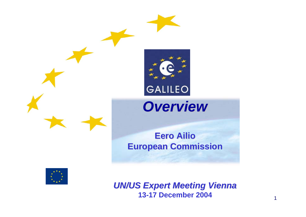



## *Overview Overview*

#### **Eero Ailio European Commission European Commission**



*UN/US Expert Meeting Vienna UN/US Expert Meeting Vienna* **13-17 December 2004**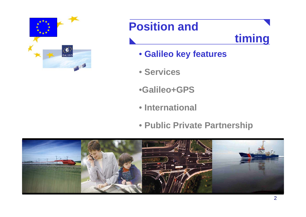

### **timing**

- **Galileo key features**
- **Services**
- •**Galileo+GPS**
- **International**
- **Public Private Partnership**

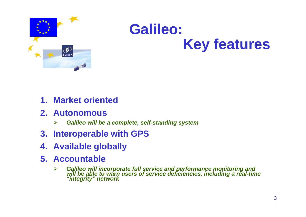

# **Galileo: Key features**

- **1. Market oriented**
- **2. Autonomous**
	- $\blacktriangleright$ *Galileo will be a complete, self-standing system*
- **3. Interoperable with GPS**
- **4. Available globally**
- **5. Accountable**
	- ¾*Galileo will incorporate full service and performance monitoring and will be able to warn users of service deficiencies, including a real-time "integrity" network*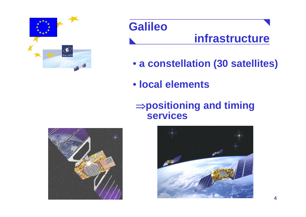

#### **Galileo infrastructure**

- **a constellation (30 satellites)**
- **local elements**

#### <sup>⇒</sup>**positioning and timing services**



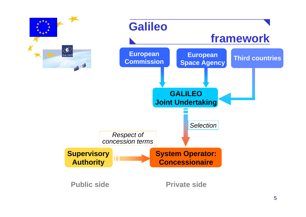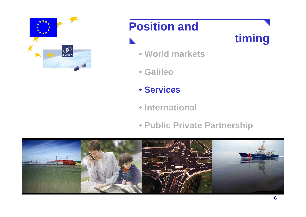



- **World markets**
- **Galileo**
- **Services**
- **International**
- **Public Private Partnership**

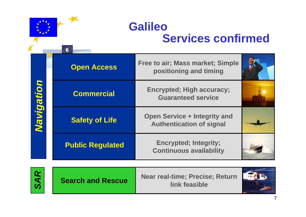

**Free to air; Mass market; Simple** 

**positioning and timing**

**Encrypted; High accuracy; Guaranteed service**

| <b>Z</b> | <b>Open Access</b>    |
|----------|-----------------------|
|          | <b>Commercial</b>     |
|          | <b>Safety of Life</b> |

 $\cdot 1$ 

**Public Regulated**

**Open Service + Integrity and Authentication of signal**

**Encrypted; Integrity; Continuous availability**



**Search and Rescue**

**Near real-time; Precise; Return link feasible**

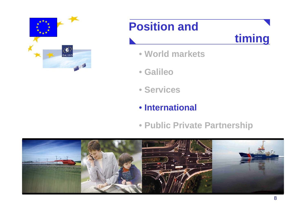



- **World markets**
- **Galileo**
- **Services**
- **International**
- **Public Private Partnership**

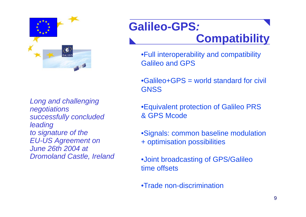

*Long and challenging negotiations successfully concluded leading to signature of the EU-US Agreement on June 26th 2004 at Dromoland Castle, Ireland*

#### **Galileo-GPS***:*  **Compatibility**

•Full interoperability and compatibility Galileo and GPS

•Galileo+GPS = world standard for civil **GNSS** 

•Equivalent protection of Galileo PRS & GPS Mcode

•Signals: common baseline modulation + optimisation possibilities

•Joint broadcasting of GPS/Galileo time offsets

•Trade non-discrimination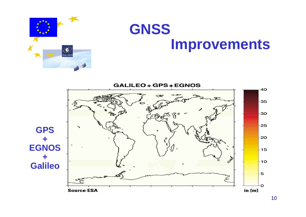

# **GNSS Improvements**

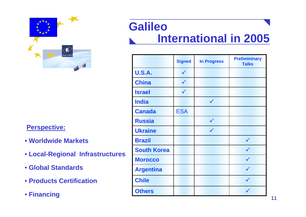

#### **Perspective:**

- **Worldwide Markets**
- **Local-Regional Infrastructures**
- **Global Standards**
- **Products Certification**
- **Financing**

#### **GalileoInternational in 2005**

|                    | <b>Signed</b> | <b>In Progress</b> | <b>Prelimininary</b><br><b>Talks</b> |
|--------------------|---------------|--------------------|--------------------------------------|
| <b>U.S.A.</b>      | $\checkmark$  |                    |                                      |
| <b>China</b>       | $\checkmark$  |                    |                                      |
| <b>Israel</b>      | $\checkmark$  |                    |                                      |
| <b>India</b>       |               | $\checkmark$       |                                      |
| <b>Canada</b>      | <b>ESA</b>    |                    |                                      |
| <b>Russia</b>      |               | $\checkmark$       |                                      |
| <b>Ukraine</b>     |               | $\checkmark$       |                                      |
| <b>Brazil</b>      |               |                    |                                      |
| <b>South Korea</b> |               |                    |                                      |
| <b>Morocco</b>     |               |                    |                                      |
| <b>Argentina</b>   |               |                    | $\checkmark$                         |
| <b>Chile</b>       |               |                    | $\checkmark$                         |
| <b>Others</b>      |               |                    |                                      |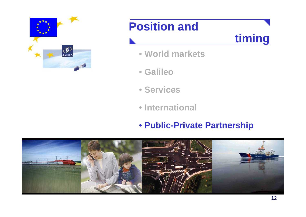



- **World markets**
- **Galileo**
- **Services**
- **International**
- **Public-Private Partnership**

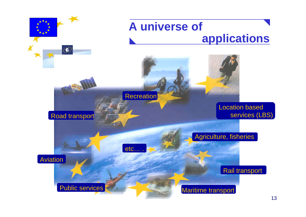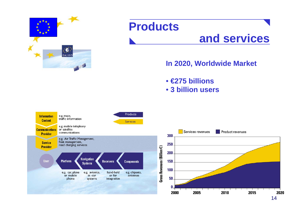

#### **Products**

#### **and services**

#### **In 2020, Worldwide Market**

• **€275 billions**

• **3 billion users**

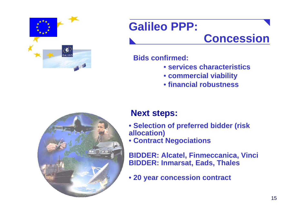

## **Galileo PPP:**

#### **Concession**

**Bids confirmed:**

- **services characteristics**
- **commercial viability**
- **financial robustness**



#### **Next steps:**

- **Selection of preferred bidder (risk allocation)**
- **Contract Negociations**

**BIDDER: Alcatel, Finmeccanica, Vinci BIDDER: Inmarsat, Eads, Thales**

• **20 year concession contract**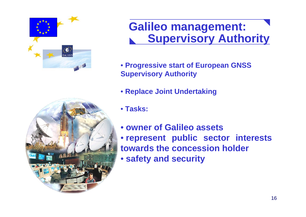

#### **Galileo management: Supervisory Authority**

- **Progressive start of European GNSS Supervisory Authority**
- **Replace Joint Undertaking**
- **Tasks:**
- **owner of Galileo assets**
- **represent public sector interests towards the concession holder**
- **safety and security**

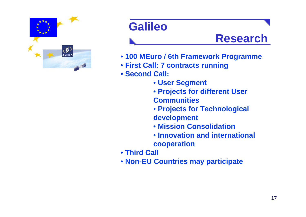

### **Galileo**

#### **Research**

- **100 MEuro / 6th Framework Programme**
- **First Call: 7 contracts running**
- **Second Call:** 
	- **User Segment**
	- **Projects for different User Communities**
	- **Projects for Technological development**
	- **Mission Consolidation**
	- **Innovation and international cooperation**
- **Third Call**
- **Non-EU Countries may participate**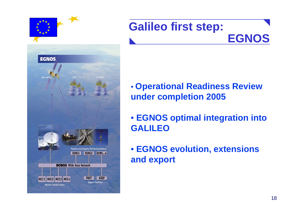

#### **Galileo first step: EGNOS**

- **Operational Readiness Review under completion 2005**
- **EGNOS optimal integration into GALILEO**
- **EGNOS evolution, extensions and export**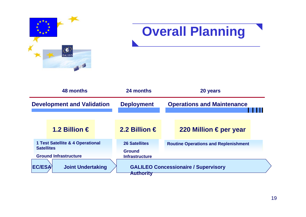

## **Overall Planning**

| 48 months                                                                             |                          | 24 months                                                       | 20 years                                    |                       |  |
|---------------------------------------------------------------------------------------|--------------------------|-----------------------------------------------------------------|---------------------------------------------|-----------------------|--|
| <b>Development and Validation</b>                                                     |                          | <b>Deployment</b>                                               | <b>Operations and Maintenance</b>           |                       |  |
|                                                                                       | 1.2 Billion €            | 2.2 Billion €                                                   |                                             | 220 Million €per year |  |
| 1 Test Satellite & 4 Operational<br><b>Satellites</b><br><b>Ground Infrastructure</b> |                          | <b>26 Satellites</b><br><b>Ground</b><br><b>Infrastructure</b>  | <b>Routine Operations and Replenishment</b> |                       |  |
| EC/ESA                                                                                | <b>Joint Undertaking</b> | <b>GALILEO Concessionaire / Supervisory</b><br><b>Authority</b> |                                             |                       |  |